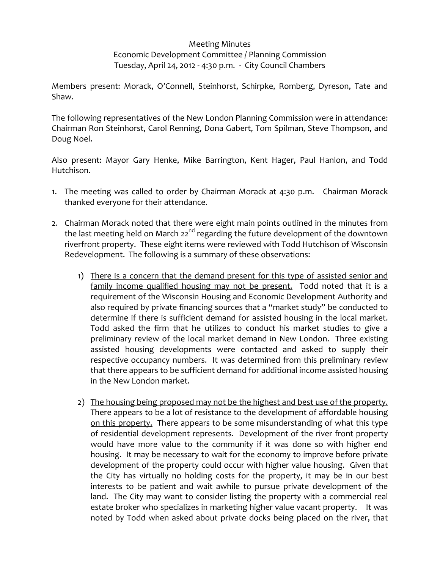## Meeting Minutes Economic Development Committee / Planning Commission Tuesday, April 24, 2012 ‐ 4:30 p.m. ‐ City Council Chambers

Members present: Morack, O'Connell, Steinhorst, Schirpke, Romberg, Dyreson, Tate and Shaw.

The following representatives of the New London Planning Commission were in attendance: Chairman Ron Steinhorst, Carol Renning, Dona Gabert, Tom Spilman, Steve Thompson, and Doug Noel.

Also present: Mayor Gary Henke, Mike Barrington, Kent Hager, Paul Hanlon, and Todd Hutchison.

- 1. The meeting was called to order by Chairman Morack at 4:30 p.m. Chairman Morack thanked everyone for their attendance.
- 2. Chairman Morack noted that there were eight main points outlined in the minutes from the last meeting held on March  $22^{nd}$  regarding the future development of the downtown riverfront property. These eight items were reviewed with Todd Hutchison of Wisconsin Redevelopment. The following is a summary of these observations:
	- 1) There is a concern that the demand present for this type of assisted senior and family income qualified housing may not be present. Todd noted that it is a requirement of the Wisconsin Housing and Economic Development Authority and also required by private financing sources that a "market study" be conducted to determine if there is sufficient demand for assisted housing in the local market. Todd asked the firm that he utilizes to conduct his market studies to give a preliminary review of the local market demand in New London. Three existing assisted housing developments were contacted and asked to supply their respective occupancy numbers. It was determined from this preliminary review that there appears to be sufficient demand for additional income assisted housing in the New London market.
	- 2) The housing being proposed may not be the highest and best use of the property. There appears to be a lot of resistance to the development of affordable housing on this property. There appears to be some misunderstanding of what this type of residential development represents. Development of the river front property would have more value to the community if it was done so with higher end housing. It may be necessary to wait for the economy to improve before private development of the property could occur with higher value housing. Given that the City has virtually no holding costs for the property, it may be in our best interests to be patient and wait awhile to pursue private development of the land. The City may want to consider listing the property with a commercial real estate broker who specializes in marketing higher value vacant property. It was noted by Todd when asked about private docks being placed on the river, that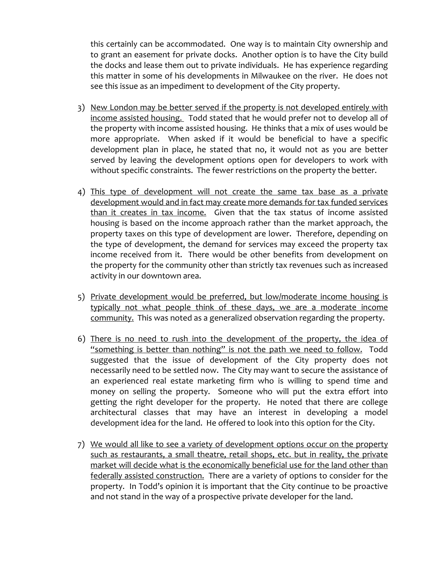this certainly can be accommodated. One way is to maintain City ownership and to grant an easement for private docks. Another option is to have the City build the docks and lease them out to private individuals. He has experience regarding this matter in some of his developments in Milwaukee on the river. He does not see this issue as an impediment to development of the City property.

- 3) New London may be better served if the property is not developed entirely with income assisted housing. Todd stated that he would prefer not to develop all of the property with income assisted housing. He thinks that a mix of uses would be more appropriate. When asked if it would be beneficial to have a specific development plan in place, he stated that no, it would not as you are better served by leaving the development options open for developers to work with without specific constraints. The fewer restrictions on the property the better.
- 4) This type of development will not create the same tax base as a private development would and in fact may create more demands for tax funded services than it creates in tax income. Given that the tax status of income assisted housing is based on the income approach rather than the market approach, the property taxes on this type of development are lower. Therefore, depending on the type of development, the demand for services may exceed the property tax income received from it. There would be other benefits from development on the property for the community other than strictly tax revenues such as increased activity in our downtown area.
- 5) Private development would be preferred, but low/moderate income housing is typically not what people think of these days, we are a moderate income community. This was noted as a generalized observation regarding the property.
- 6) There is no need to rush into the development of the property, the idea of "something is better than nothing" is not the path we need to follow. Todd suggested that the issue of development of the City property does not necessarily need to be settled now. The City may want to secure the assistance of an experienced real estate marketing firm who is willing to spend time and money on selling the property. Someone who will put the extra effort into getting the right developer for the property. He noted that there are college architectural classes that may have an interest in developing a model development idea for the land. He offered to look into this option for the City.
- 7) We would all like to see a variety of development options occur on the property such as restaurants, a small theatre, retail shops, etc. but in reality, the private market will decide what is the economically beneficial use for the land other than federally assisted construction. There are a variety of options to consider for the property. In Todd's opinion it is important that the City continue to be proactive and not stand in the way of a prospective private developer for the land.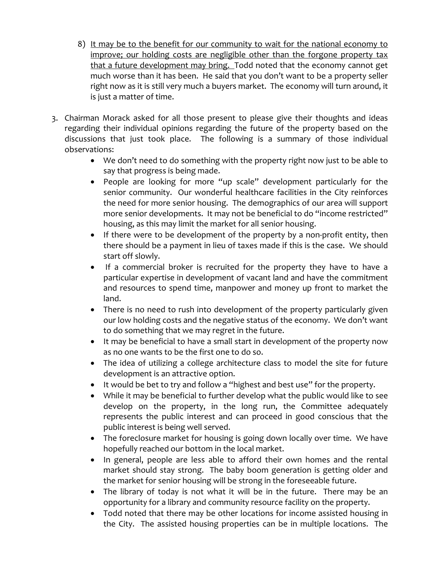- 8) It may be to the benefit for our community to wait for the national economy to improve; our holding costs are negligible other than the forgone property tax that a future development may bring. Todd noted that the economy cannot get much worse than it has been. He said that you don't want to be a property seller right now as it is still very much a buyers market. The economy will turn around, it is just a matter of time.
- 3. Chairman Morack asked for all those present to please give their thoughts and ideas regarding their individual opinions regarding the future of the property based on the discussions that just took place. The following is a summary of those individual observations:
	- We don't need to do something with the property right now just to be able to say that progress is being made.
	- People are looking for more "up scale" development particularly for the senior community. Our wonderful healthcare facilities in the City reinforces the need for more senior housing. The demographics of our area will support more senior developments. It may not be beneficial to do "income restricted" housing, as this may limit the market for all senior housing.
	- If there were to be development of the property by a non-profit entity, then there should be a payment in lieu of taxes made if this is the case. We should start off slowly.
	- If a commercial broker is recruited for the property they have to have a particular expertise in development of vacant land and have the commitment and resources to spend time, manpower and money up front to market the land.
	- There is no need to rush into development of the property particularly given our low holding costs and the negative status of the economy. We don't want to do something that we may regret in the future.
	- It may be beneficial to have a small start in development of the property now as no one wants to be the first one to do so.
	- The idea of utilizing a college architecture class to model the site for future development is an attractive option.
	- It would be bet to try and follow a "highest and best use" for the property.
	- While it may be beneficial to further develop what the public would like to see develop on the property, in the long run, the Committee adequately represents the public interest and can proceed in good conscious that the public interest is being well served.
	- The foreclosure market for housing is going down locally over time. We have hopefully reached our bottom in the local market.
	- In general, people are less able to afford their own homes and the rental market should stay strong. The baby boom generation is getting older and the market for senior housing will be strong in the foreseeable future.
	- The library of today is not what it will be in the future. There may be an opportunity for a library and community resource facility on the property.
	- Todd noted that there may be other locations for income assisted housing in the City. The assisted housing properties can be in multiple locations. The